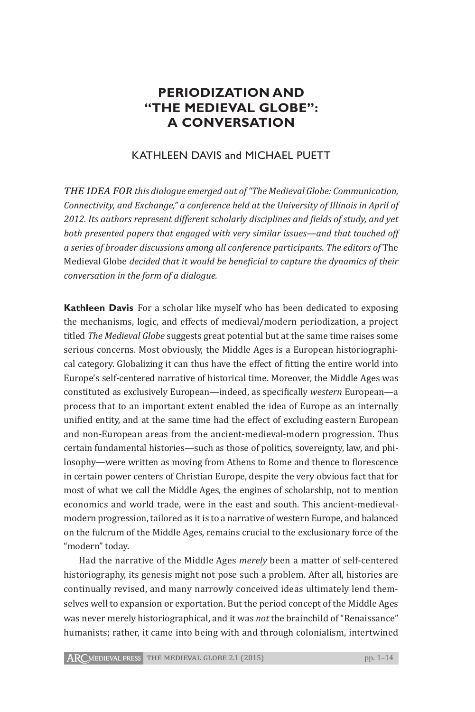# **PERIODIZATION AND "THE MEDIEVAL GLOBE": A CONVERSATION**

## KATHLEEN DAVIS and MICHAEL PUETT

*The idea for this dialogue emerged out of "The Medieval Globe: Communication, Connectivity, and Exchange," a conference held at the University of Illinois in April of 2012. Its authors represent different scholarly disciplines and fields of study, and yet both presented papers that engaged with very similar issues—and that touched off a series of broader discussions among all conference participants. The editors of* The Medieval Globe *decided that it would be beneficial to capture the dynamics of their conversation in the form of a dialogue.*

**Kathleen Davis** For a scholar like myself who has been dedicated to exposing the mechanisms, logic, and effects of medieval/modern periodization, a project titled *The Medieval Globe* suggests great potential but at the same time raises some serious concerns. Most obviously, the Middle Ages is a European historiographical category. Globalizing it can thus have the effect of fitting the entire world into Europe's self-centered narrative of historical time. Moreover, the Middle Ages was constituted as exclusively European—indeed, as specifically *western* European—a process that to an important extent enabled the idea of Europe as an internally unified entity, and at the same time had the effect of excluding eastern European and non-European areas from the ancient-medieval-modern progression. Thus certain fundamental histories—such as those of politics, sovereignty, law, and philosophy—were written as moving from Athens to Rome and thence to florescence in certain power centers of Christian Europe, despite the very obvious fact that for most of what we call the Middle Ages, the engines of scholarship, not to mention economics and world trade, were in the east and south. This ancient-medievalmodern progression, tailored as it is to a narrative of western Europe, and balanced on the fulcrum of the Middle Ages, remains crucial to the exclusionary force of the "modern" today.

Had the narrative of the Middle Ages *merely* been a matter of self-centered historiography, its genesis might not pose such a problem. After all, histories are continually revised, and many narrowly conceived ideas ultimately lend themselves well to expansion or exportation. But the period concept of the Middle Ages was never merely historiographical, and it was *not* the brainchild of "Renaissance" humanists; rather, it came into being with and through colonialism, intertwined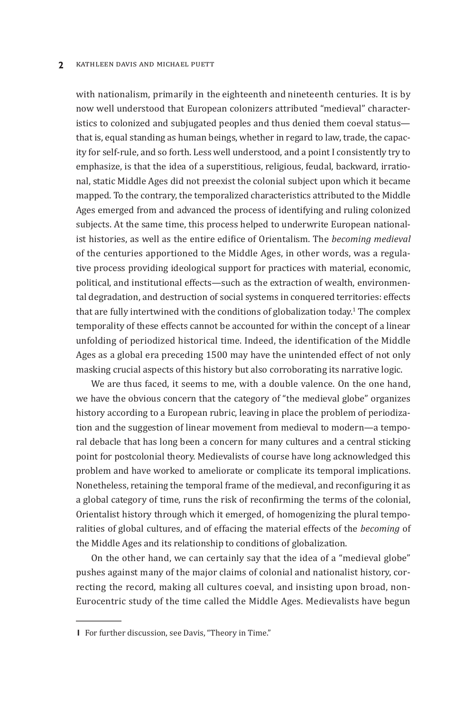#### **2** KATHLEEN DAVIS and MICHAEL PUETT

with nationalism, primarily in the eighteenth and nineteenth centuries. It is by now well understood that European colonizers attributed "medieval" characteristics to colonized and subjugated peoples and thus denied them coeval status that is, equal standing as human beings, whether in regard to law, trade, the capacity for self-rule, and so forth. Less well understood, and a point I consistently try to emphasize, is that the idea of a superstitious, religious, feudal, backward, irrational, static Middle Ages did not preexist the colonial subject upon which it became mapped. To the contrary, the temporalized characteristics attributed to the Middle Ages emerged from and advanced the process of identifying and ruling colonized subjects. At the same time, this process helped to underwrite European nationalist histories, as well as the entire edifice of Orientalism. The *becoming medieval* of the centuries apportioned to the Middle Ages, in other words, was a regulative process providing ideological support for practices with material, economic, political, and institutional effects—such as the extraction of wealth, environmental degradation, and destruction of social systems in conquered territories: effects that are fully intertwined with the conditions of globalization today.<sup>1</sup> The complex temporality of these effects cannot be accounted for within the concept of a linear unfolding of periodized historical time. Indeed, the identification of the Middle Ages as a global era preceding 1500 may have the unintended effect of not only masking crucial aspects of this history but also corroborating its narrative logic.

We are thus faced, it seems to me, with a double valence. On the one hand, we have the obvious concern that the category of "the medieval globe" organizes history according to a European rubric, leaving in place the problem of periodization and the suggestion of linear movement from medieval to modern—a temporal debacle that has long been a concern for many cultures and a central sticking point for postcolonial theory. Medievalists of course have long acknowledged this problem and have worked to ameliorate or complicate its temporal implications. Nonetheless, retaining the temporal frame of the medieval, and reconfiguring it as a global category of time, runs the risk of reconfirming the terms of the colonial, Orientalist history through which it emerged, of homogenizing the plural temporalities of global cultures, and of effacing the material effects of the *becoming* of the Middle Ages and its relationship to conditions of globalization.

On the other hand, we can certainly say that the idea of a "medieval globe" pushes against many of the major claims of colonial and nationalist history, correcting the record, making all cultures coeval, and insisting upon broad, non-Eurocentric study of the time called the Middle Ages. Medievalists have begun

**<sup>1</sup>** For further discussion, see Davis, "Theory in Time."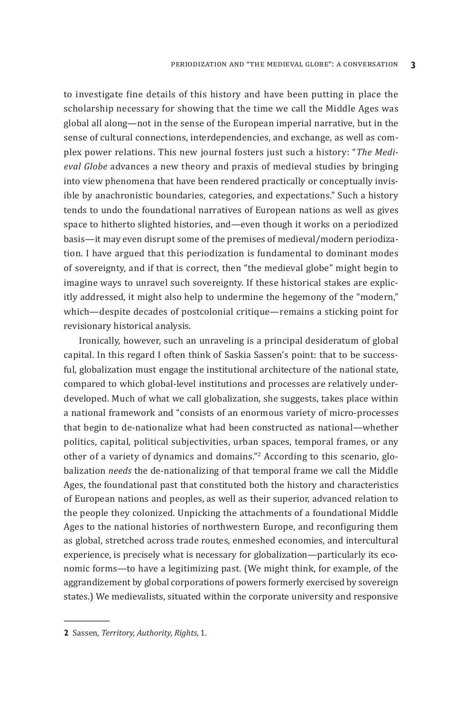to investigate fine details of this history and have been putting in place the scholarship necessary for showing that the time we call the Middle Ages was global all along—not in the sense of the European imperial narrative, but in the sense of cultural connections, interdependencies, and exchange, as well as complex power relations. This new journal fosters just such a history: "*The Medieval Globe* advances a new theory and praxis of medieval studies by bringing into view phenomena that have been rendered practically or conceptually invisible by anachronistic boundaries, categories, and expectations." Such a history tends to undo the foundational narratives of European nations as well as gives space to hitherto slighted histories, and—even though it works on a periodized basis—it may even disrupt some of the premises of medieval/modern periodization. I have argued that this periodization is fundamental to dominant modes of sovereignty, and if that is correct, then "the medieval globe" might begin to imagine ways to unravel such sovereignty. If these historical stakes are explicitly addressed, it might also help to undermine the hegemony of the "modern," which—despite decades of postcolonial critique—remains a sticking point for revisionary historical analysis.

Ironically, however, such an unraveling is a principal desideratum of global capital. In this regard I often think of Saskia Sassen's point: that to be successful, globalization must engage the institutional architecture of the national state, compared to which global-level institutions and processes are relatively underdeveloped. Much of what we call globalization, she suggests, takes place within a national framework and "consists of an enormous variety of micro-processes that begin to de-nationalize what had been constructed as national—whether politics, capital, political subjectivities, urban spaces, temporal frames, or any other of a variety of dynamics and domains."<sup>2</sup> According to this scenario, globalization *needs* the de-nationalizing of that temporal frame we call the Middle Ages, the foundational past that constituted both the history and characteristics of European nations and peoples, as well as their superior, advanced relation to the people they colonized. Unpicking the attachments of a foundational Middle Ages to the national histories of northwestern Europe, and reconfiguring them as global, stretched across trade routes, enmeshed economies, and intercultural experience, is precisely what is necessary for globalization—particularly its economic forms—to have a legitimizing past. (We might think, for example, of the aggrandizement by global corporations of powers formerly exercised by sovereign states.) We medievalists, situated within the corporate university and responsive

**<sup>2</sup>** Sassen, *Territory, Authority, Rights*, 1.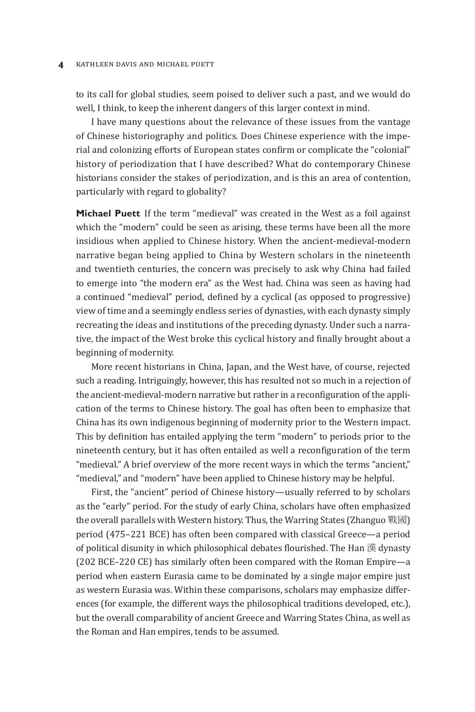#### **4** KATHLEEN DAVIS and MICHAEL PUETT

to its call for global studies, seem poised to deliver such a past, and we would do well, I think, to keep the inherent dangers of this larger context in mind.

I have many questions about the relevance of these issues from the vantage of Chinese historiography and politics. Does Chinese experience with the imperial and colonizing efforts of European states confirm or complicate the "colonial" history of periodization that I have described? What do contemporary Chinese historians consider the stakes of periodization, and is this an area of contention, particularly with regard to globality?

**Michael Puett**  If the term "medieval" was created in the West as a foil against which the "modern" could be seen as arising, these terms have been all the more insidious when applied to Chinese history. When the ancient-medieval-modern narrative began being applied to China by Western scholars in the nineteenth and twentieth centuries, the concern was precisely to ask why China had failed to emerge into "the modern era" as the West had. China was seen as having had a continued "medieval" period, defined by a cyclical (as opposed to progressive) view of time and a seemingly endless series of dynasties, with each dynasty simply recreating the ideas and institutions of the preceding dynasty. Under such a narrative, the impact of the West broke this cyclical history and finally brought about a beginning of modernity.

More recent historians in China, Japan, and the West have, of course, rejected such a reading. Intriguingly, however, this has resulted not so much in a rejection of the ancient-medieval-modern narrative but rather in a reconfiguration of the application of the terms to Chinese history. The goal has often been to emphasize that China has its own indigenous beginning of modernity prior to the Western impact. This by definition has entailed applying the term "modern" to periods prior to the nineteenth century, but it has often entailed as well a reconfiguration of the term "medieval." A brief overview of the more recent ways in which the terms "ancient," "medieval," and "modern" have been applied to Chinese history may be helpful.

First, the "ancient" period of Chinese history—usually referred to by scholars as the "early" period. For the study of early China, scholars have often emphasized the overall parallels with Western history. Thus, the Warring States (Zhanguo 戰國) period (475–221 BCE) has often been compared with classical Greece—a period of political disunity in which philosophical debates flourished. The Han 漢 dynasty (202 BCE–220 CE) has similarly often been compared with the Roman Empire—a period when eastern Eurasia came to be dominated by a single major empire just as western Eurasia was. Within these comparisons, scholars may emphasize differences (for example, the different ways the philosophical traditions developed, etc.), but the overall comparability of ancient Greece and Warring States China, as well as the Roman and Han empires, tends to be assumed.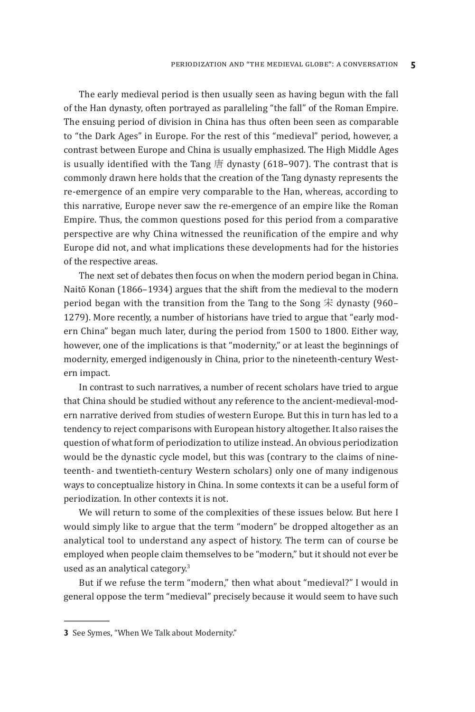The early medieval period is then usually seen as having begun with the fall of the Han dynasty, often portrayed as paralleling "the fall" of the Roman Empire. The ensuing period of division in China has thus often been seen as comparable to "the Dark Ages" in Europe. For the rest of this "medieval" period, however, a contrast between Europe and China is usually emphasized. The High Middle Ages is usually identified with the Tang  $\frac{1}{2}$  dynasty (618–907). The contrast that is commonly drawn here holds that the creation of the Tang dynasty represents the re-emergence of an empire very comparable to the Han, whereas, according to this narrative, Europe never saw the re-emergence of an empire like the Roman Empire. Thus, the common questions posed for this period from a comparative perspective are why China witnessed the reunification of the empire and why Europe did not, and what implications these developments had for the histories of the respective areas.

The next set of debates then focus on when the modern period began in China. Naitō Konan (1866–1934) argues that the shift from the medieval to the modern period began with the transition from the Tang to the Song  $\hat{\mathcal{F}}$  dynasty (960– 1279). More recently, a number of historians have tried to argue that "early modern China" began much later, during the period from 1500 to 1800. Either way, however, one of the implications is that "modernity," or at least the beginnings of modernity, emerged indigenously in China, prior to the nineteenth-century Western impact.

In contrast to such narratives, a number of recent scholars have tried to argue that China should be studied without any reference to the ancient-medieval-modern narrative derived from studies of western Europe. But this in turn has led to a tendency to reject comparisons with European history altogether. It also raises the question of what form of periodization to utilize instead. An obvious periodization would be the dynastic cycle model, but this was (contrary to the claims of nineteenth- and twentieth-century Western scholars) only one of many indigenous ways to conceptualize history in China. In some contexts it can be a useful form of periodization. In other contexts it is not.

We will return to some of the complexities of these issues below. But here I would simply like to argue that the term "modern" be dropped altogether as an analytical tool to understand any aspect of history. The term can of course be employed when people claim themselves to be "modern," but it should not ever be used as an analytical category.<sup>3</sup>

But if we refuse the term "modern," then what about "medieval?" I would in general oppose the term "medieval" precisely because it would seem to have such

**<sup>3</sup>** See Symes, "When We Talk about Modernity."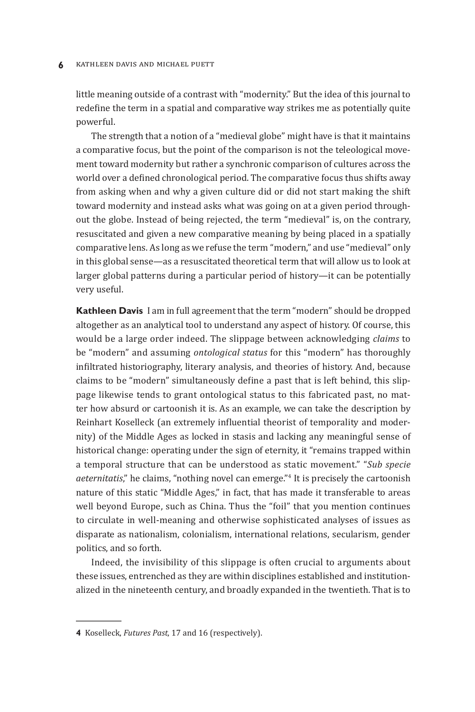#### **6** KATHLEEN DAVIS AND MICHAEL PUETT

little meaning outside of a contrast with "modernity." But the idea of this journal to redefine the term in a spatial and comparative way strikes me as potentially quite powerful.

The strength that a notion of a "medieval globe" might have is that it maintains a comparative focus, but the point of the comparison is not the teleological movement toward modernity but rather a synchronic comparison of cultures across the world over a defined chronological period. The comparative focus thus shifts away from asking when and why a given culture did or did not start making the shift toward modernity and instead asks what was going on at a given period throughout the globe. Instead of being rejected, the term "medieval" is, on the contrary, resuscitated and given a new comparative meaning by being placed in a spatially comparative lens. As long as we refuse the term "modern," and use "medieval" only in this global sense—as a resuscitated theoretical term that will allow us to look at larger global patterns during a particular period of history—it can be potentially very useful.

**Kathleen Davis**  I am in full agreement that the term "modern" should be dropped altogether as an analytical tool to understand any aspect of history. Of course, this would be a large order indeed. The slippage between acknowledging *claims* to be "modern" and assuming *ontological status* for this "modern" has thoroughly infiltrated historiography, literary analysis, and theories of history. And, because claims to be "modern" simultaneously define a past that is left behind, this slippage likewise tends to grant ontological status to this fabricated past, no matter how absurd or cartoonish it is. As an example, we can take the description by Reinhart Koselleck (an extremely influential theorist of temporality and modernity) of the Middle Ages as locked in stasis and lacking any meaningful sense of historical change: operating under the sign of eternity, it "remains trapped within a temporal structure that can be understood as static movement." "*Sub specie aeternitatis*," he claims, "nothing novel can emerge."4 It is precisely the cartoonish nature of this static "Middle Ages," in fact, that has made it transferable to areas well beyond Europe, such as China. Thus the "foil" that you mention continues to circulate in well-meaning and otherwise sophisticated analyses of issues as disparate as nationalism, colonialism, international relations, secularism, gender politics, and so forth.

Indeed, the invisibility of this slippage is often crucial to arguments about these issues, entrenched as they are within disciplines established and institutionalized in the nineteenth century, and broadly expanded in the twentieth. That is to

**<sup>4</sup>** Koselleck, *Futures Past*, 17 and 16 (respectively).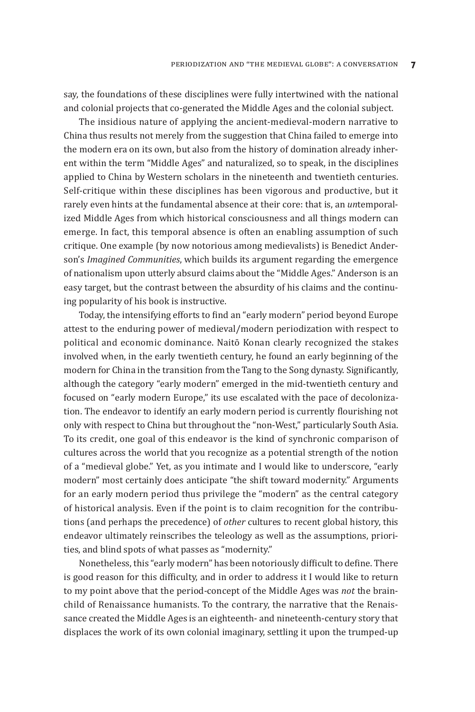say, the foundations of these disciplines were fully intertwined with the national and colonial projects that co-generated the Middle Ages and the colonial subject.

The insidious nature of applying the ancient-medieval-modern narrative to China thus results not merely from the suggestion that China failed to emerge into the modern era on its own, but also from the history of domination already inherent within the term "Middle Ages" and naturalized, so to speak, in the disciplines applied to China by Western scholars in the nineteenth and twentieth centuries. Self-critique within these disciplines has been vigorous and productive, but it rarely even hints at the fundamental absence at their core: that is, an *un*temporalized Middle Ages from which historical consciousness and all things modern can emerge. In fact, this temporal absence is often an enabling assumption of such critique. One example (by now notorious among medievalists) is Benedict Anderson's *Imagined Communities*, which builds its argument regarding the emergence of nationalism upon utterly absurd claims about the "Middle Ages." Anderson is an easy target, but the contrast between the absurdity of his claims and the continuing popularity of his book is instructive.

Today, the intensifying efforts to find an "early modern" period beyond Europe attest to the enduring power of medieval/modern periodization with respect to political and economic dominance. Naitō Konan clearly recognized the stakes involved when, in the early twentieth century, he found an early beginning of the modern for China in the transition from the Tang to the Song dynasty. Significantly, although the category "early modern" emerged in the mid-twentieth century and focused on "early modern Europe," its use escalated with the pace of decolonization. The endeavor to identify an early modern period is currently flourishing not only with respect to China but throughout the "non-West," particularly South Asia. To its credit, one goal of this endeavor is the kind of synchronic comparison of cultures across the world that you recognize as a potential strength of the notion of a "medieval globe." Yet, as you intimate and I would like to underscore, "early modern" most certainly does anticipate "the shift toward modernity." Arguments for an early modern period thus privilege the "modern" as the central category of historical analysis. Even if the point is to claim recognition for the contributions (and perhaps the precedence) of *other* cultures to recent global history, this endeavor ultimately reinscribes the teleology as well as the assumptions, priorities, and blind spots of what passes as "modernity."

Nonetheless, this "early modern" has been notoriously difficult to define. There is good reason for this difficulty, and in order to address it I would like to return to my point above that the period-concept of the Middle Ages was *not* the brainchild of Renaissance humanists. To the contrary, the narrative that the Renaissance created the Middle Ages is an eighteenth- and nineteenth-century story that displaces the work of its own colonial imaginary, settling it upon the trumped-up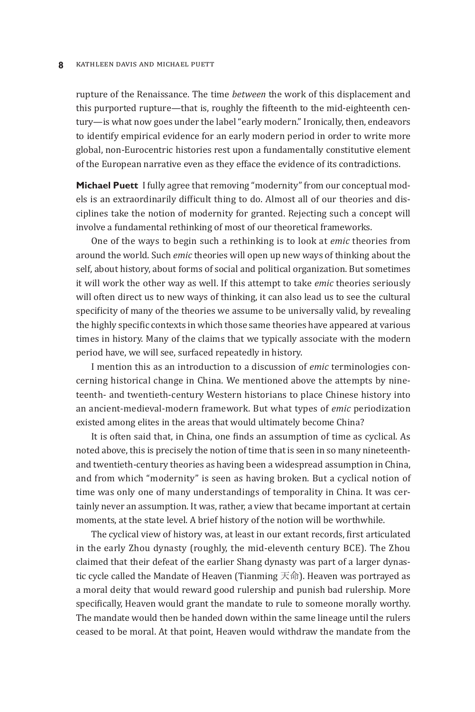#### **8** KATHLEEN DAVIS and MICHAEL PUETT

rupture of the Renaissance. The time *between* the work of this displacement and this purported rupture—that is, roughly the fifteenth to the mid-eighteenth century—is what now goes under the label "early modern." Ironically, then, endeavors to identify empirical evidence for an early modern period in order to write more global, non-Eurocentric histories rest upon a fundamentally constitutive element of the European narrative even as they efface the evidence of its contradictions.

**Michael Puett**  I fully agree that removing "modernity" from our conceptual models is an extraordinarily difficult thing to do. Almost all of our theories and disciplines take the notion of modernity for granted. Rejecting such a concept will involve a fundamental rethinking of most of our theoretical frameworks.

One of the ways to begin such a rethinking is to look at *emic* theories from around the world. Such *emic* theories will open up new ways of thinking about the self, about history, about forms of social and political organization. But sometimes it will work the other way as well. If this attempt to take *emic* theories seriously will often direct us to new ways of thinking, it can also lead us to see the cultural specificity of many of the theories we assume to be universally valid, by revealing the highly specific contexts in which those same theories have appeared at various times in history. Many of the claims that we typically associate with the modern period have, we will see, surfaced repeatedly in history.

I mention this as an introduction to a discussion of *emic* terminologies concerning historical change in China. We mentioned above the attempts by nineteenth- and twentieth-century Western historians to place Chinese history into an ancient-medieval-modern framework. But what types of *emic* periodization existed among elites in the areas that would ultimately become China?

It is often said that, in China, one finds an assumption of time as cyclical. As noted above, this is precisely the notion of time that is seen in so many nineteenthand twentieth-century theories as having been a widespread assumption in China, and from which "modernity" is seen as having broken. But a cyclical notion of time was only one of many understandings of temporality in China. It was certainly never an assumption. It was, rather, a view that became important at certain moments, at the state level. A brief history of the notion will be worthwhile.

The cyclical view of history was, at least in our extant records, first articulated in the early Zhou dynasty (roughly, the mid-eleventh century BCE). The Zhou claimed that their defeat of the earlier Shang dynasty was part of a larger dynastic cycle called the Mandate of Heaven (Tianming 天命). Heaven was portrayed as a moral deity that would reward good rulership and punish bad rulership. More specifically, Heaven would grant the mandate to rule to someone morally worthy. The mandate would then be handed down within the same lineage until the rulers ceased to be moral. At that point, Heaven would withdraw the mandate from the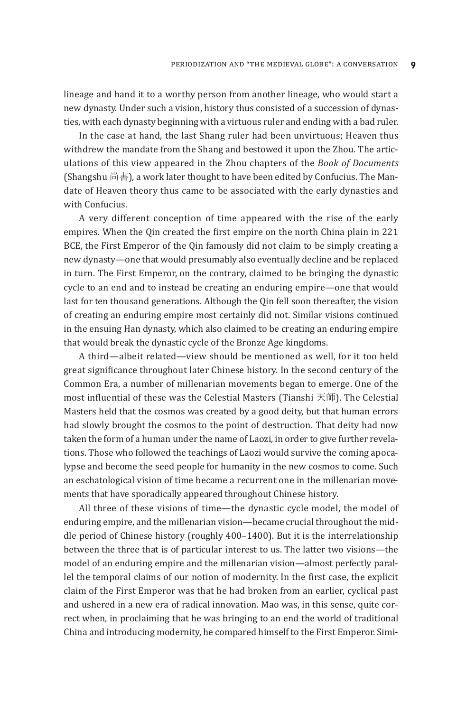lineage and hand it to a worthy person from another lineage, who would start a new dynasty. Under such a vision, history thus consisted of a succession of dynasties, with each dynasty beginning with a virtuous ruler and ending with a bad ruler.

In the case at hand, the last Shang ruler had been unvirtuous; Heaven thus withdrew the mandate from the Shang and bestowed it upon the Zhou. The articulations of this view appeared in the Zhou chapters of the *Book of Documents* (Shangshu 尚書), a work later thought to have been edited by Confucius. The Mandate of Heaven theory thus came to be associated with the early dynasties and with Confucius.

A very different conception of time appeared with the rise of the early empires. When the Qin created the first empire on the north China plain in 221 BCE, the First Emperor of the Qin famously did not claim to be simply creating a new dynasty—one that would presumably also eventually decline and be replaced in turn. The First Emperor, on the contrary, claimed to be bringing the dynastic cycle to an end and to instead be creating an enduring empire—one that would last for ten thousand generations. Although the Qin fell soon thereafter, the vision of creating an enduring empire most certainly did not. Similar visions continued in the ensuing Han dynasty, which also claimed to be creating an enduring empire that would break the dynastic cycle of the Bronze Age kingdoms.

A third—albeit related—view should be mentioned as well, for it too held great significance throughout later Chinese history. In the second century of the Common Era, a number of millenarian movements began to emerge. One of the most influential of these was the Celestial Masters (Tianshi 天師). The Celestial Masters held that the cosmos was created by a good deity, but that human errors had slowly brought the cosmos to the point of destruction. That deity had now taken the form of a human under the name of Laozi, in order to give further revelations. Those who followed the teachings of Laozi would survive the coming apocalypse and become the seed people for humanity in the new cosmos to come. Such an eschatological vision of time became a recurrent one in the millenarian movements that have sporadically appeared throughout Chinese history.

All three of these visions of time—the dynastic cycle model, the model of enduring empire, and the millenarian vision—became crucial throughout the middle period of Chinese history (roughly 400–1400). But it is the interrelationship between the three that is of particular interest to us. The latter two visions—the model of an enduring empire and the millenarian vision—almost perfectly parallel the temporal claims of our notion of modernity. In the first case, the explicit claim of the First Emperor was that he had broken from an earlier, cyclical past and ushered in a new era of radical innovation. Mao was, in this sense, quite correct when, in proclaiming that he was bringing to an end the world of traditional China and introducing modernity, he compared himself to the First Emperor. Simi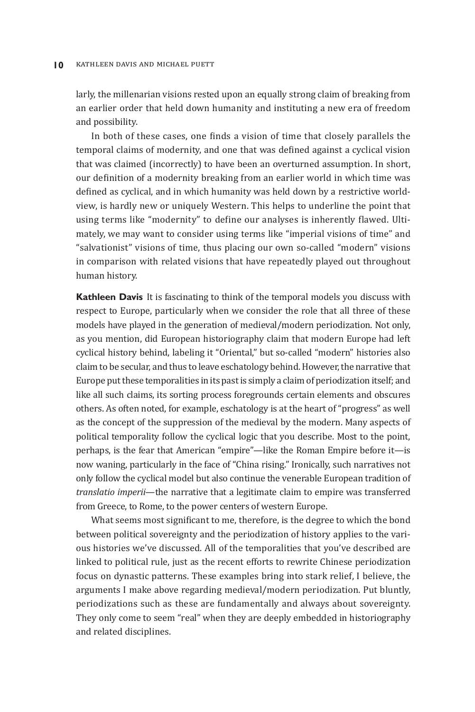larly, the millenarian visions rested upon an equally strong claim of breaking from an earlier order that held down humanity and instituting a new era of freedom and possibility.

In both of these cases, one finds a vision of time that closely parallels the temporal claims of modernity, and one that was defined against a cyclical vision that was claimed (incorrectly) to have been an overturned assumption. In short, our definition of a modernity breaking from an earlier world in which time was defined as cyclical, and in which humanity was held down by a restrictive worldview, is hardly new or uniquely Western. This helps to underline the point that using terms like "modernity" to define our analyses is inherently flawed. Ultimately, we may want to consider using terms like "imperial visions of time" and "salvationist" visions of time, thus placing our own so-called "modern" visions in comparison with related visions that have repeatedly played out throughout human history.

**Kathleen Davis**  It is fascinating to think of the temporal models you discuss with respect to Europe, particularly when we consider the role that all three of these models have played in the generation of medieval/modern periodization. Not only, as you mention, did European historiography claim that modern Europe had left cyclical history behind, labeling it "Oriental," but so-called "modern" histories also claim to be secular, and thus to leave eschatology behind. However, the narrative that Europe put these temporalities in its past is simply a claim of periodization itself; and like all such claims, its sorting process foregrounds certain elements and obscures others. As often noted, for example, eschatology is at the heart of "progress" as well as the concept of the suppression of the medieval by the modern. Many aspects of political temporality follow the cyclical logic that you describe. Most to the point, perhaps, is the fear that American "empire"—like the Roman Empire before it—is now waning, particularly in the face of "China rising." Ironically, such narratives not only follow the cyclical model but also continue the venerable European tradition of *translatio imperii*—the narrative that a legitimate claim to empire was transferred from Greece, to Rome, to the power centers of western Europe.

What seems most significant to me, therefore, is the degree to which the bond between political sovereignty and the periodization of history applies to the various histories we've discussed. All of the temporalities that you've described are linked to political rule, just as the recent efforts to rewrite Chinese periodization focus on dynastic patterns. These examples bring into stark relief, I believe, the arguments I make above regarding medieval/modern periodization. Put bluntly, periodizations such as these are fundamentally and always about sovereignty. They only come to seem "real" when they are deeply embedded in historiography and related disciplines.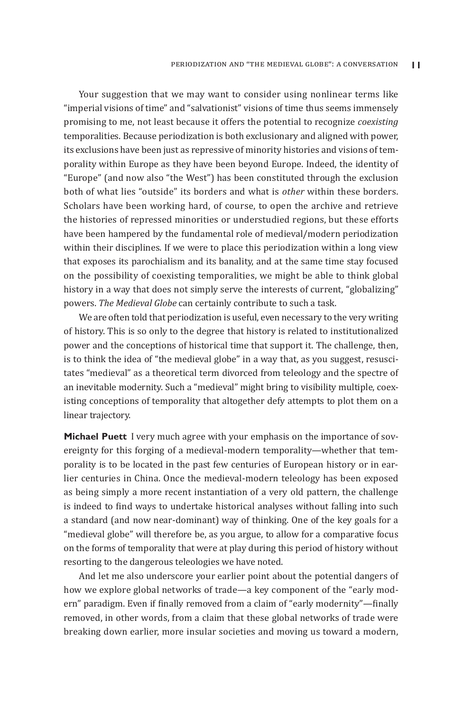Your suggestion that we may want to consider using nonlinear terms like "imperial visions of time" and "salvationist" visions of time thus seems immensely promising to me, not least because it offers the potential to recognize *coexisting* temporalities. Because periodization is both exclusionary and aligned with power, its exclusions have been just as repressive of minority histories and visions of temporality within Europe as they have been beyond Europe. Indeed, the identity of "Europe" (and now also "the West") has been constituted through the exclusion both of what lies "outside" its borders and what is *other* within these borders. Scholars have been working hard, of course, to open the archive and retrieve the histories of repressed minorities or understudied regions, but these efforts have been hampered by the fundamental role of medieval/modern periodization within their disciplines. If we were to place this periodization within a long view that exposes its parochialism and its banality, and at the same time stay focused on the possibility of coexisting temporalities, we might be able to think global history in a way that does not simply serve the interests of current, "globalizing" powers. *The Medieval Globe* can certainly contribute to such a task.

We are often told that periodization is useful, even necessary to the very writing of history. This is so only to the degree that history is related to institutionalized power and the conceptions of historical time that support it. The challenge, then, is to think the idea of "the medieval globe" in a way that, as you suggest, resuscitates "medieval" as a theoretical term divorced from teleology and the spectre of an inevitable modernity. Such a "medieval" might bring to visibility multiple, coexisting conceptions of temporality that altogether defy attempts to plot them on a linear trajectory.

**Michael Puett** I very much agree with your emphasis on the importance of sovereignty for this forging of a medieval-modern temporality—whether that temporality is to be located in the past few centuries of European history or in earlier centuries in China. Once the medieval-modern teleology has been exposed as being simply a more recent instantiation of a very old pattern, the challenge is indeed to find ways to undertake historical analyses without falling into such a standard (and now near-dominant) way of thinking. One of the key goals for a "medieval globe" will therefore be, as you argue, to allow for a comparative focus on the forms of temporality that were at play during this period of history without resorting to the dangerous teleologies we have noted.

And let me also underscore your earlier point about the potential dangers of how we explore global networks of trade—a key component of the "early modern" paradigm. Even if finally removed from a claim of "early modernity"—finally removed, in other words, from a claim that these global networks of trade were breaking down earlier, more insular societies and moving us toward a modern,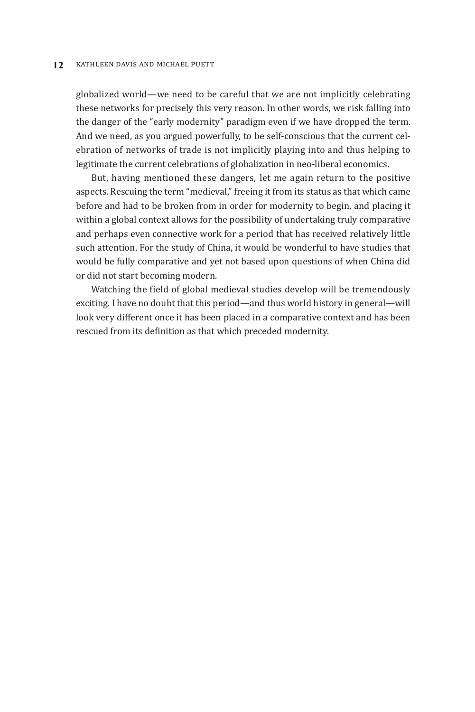#### **12** KATHLEEN DAVIS AND MICHAEL PUETT

globalized world—we need to be careful that we are not implicitly celebrating these networks for precisely this very reason. In other words, we risk falling into the danger of the "early modernity" paradigm even if we have dropped the term. And we need, as you argued powerfully, to be self-conscious that the current celebration of networks of trade is not implicitly playing into and thus helping to legitimate the current celebrations of globalization in neo-liberal economics.

But, having mentioned these dangers, let me again return to the positive aspects. Rescuing the term "medieval," freeing it from its status as that which came before and had to be broken from in order for modernity to begin, and placing it within a global context allows for the possibility of undertaking truly comparative and perhaps even connective work for a period that has received relatively little such attention. For the study of China, it would be wonderful to have studies that would be fully comparative and yet not based upon questions of when China did or did not start becoming modern.

Watching the field of global medieval studies develop will be tremendously exciting. I have no doubt that this period—and thus world history in general—will look very different once it has been placed in a comparative context and has been rescued from its definition as that which preceded modernity.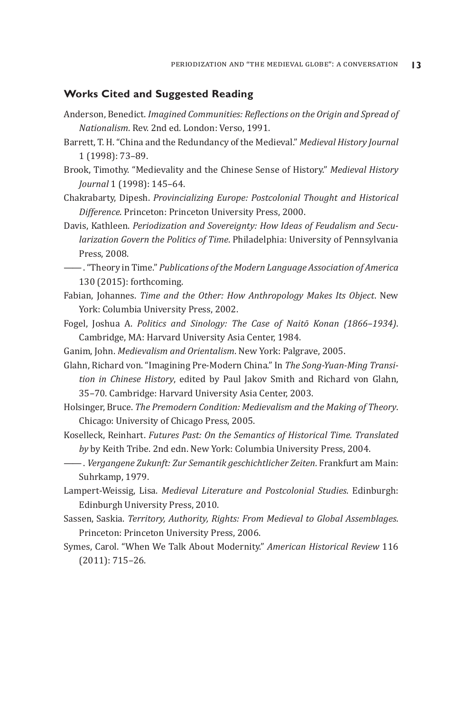### **Works Cited and Suggested Reading**

- Anderson, Benedict. *Imagined Communities: Reflections on the Origin and Spread of Nationalism*. Rev. 2nd ed. London: Verso, 1991.
- Barrett, T. H. "China and the Redundancy of the Medieval." *Medieval History Journal* 1 (1998): 73–89.
- Brook, Timothy. "Medievality and the Chinese Sense of History." *Medieval History Journal* 1 (1998): 145–64.
- Chakrabarty, Dipesh. *Provincializing Europe: Postcolonial Thought and Historical Difference*. Princeton: Princeton University Press, 2000.
- Davis, Kathleen. *Periodization and Sovereignty: How Ideas of Feudalism and Secularization Govern the Politics of Time*. Philadelphia: University of Pennsylvania Press, 2008.
- ——. "Theory in Time." *Publications of the Modern Language Association of America* 130 (2015): forthcoming.
- Fabian, Johannes. *Time and the Other: How Anthropology Makes Its Object*. New York: Columbia University Press, 2002.
- Fogel, Joshua A. *Politics and Sinology: The Case of Naitō Konan (1866–1934)*. Cambridge, MA: Harvard University Asia Center, 1984.
- Ganim, John. *Medievalism and Orientalism*. New York: Palgrave, 2005.

Glahn, Richard von. "Imagining Pre-Modern China." In *The Song-Yuan-Ming Transition in Chinese History*, edited by Paul Jakov Smith and Richard von Glahn, 35–70. Cambridge: Harvard University Asia Center, 2003.

- Holsinger, Bruce. *The Premodern Condition: Medievalism and the Making of Theory*. Chicago: University of Chicago Press, 2005.
- Koselleck, Reinhart. *Futures Past: On the Semantics of Historical Time. Translated by* by Keith Tribe. 2nd edn. New York: Columbia University Press, 2004.
- ——. *Vergangene Zukunft: Zur Semantik geschichtlicher Zeiten*. Frankfurt am Main: Suhrkamp, 1979.
- Lampert-Weissig, Lisa. *Medieval Literature and Postcolonial Studies*. Edinburgh: Edinburgh University Press, 2010.
- Sassen, Saskia. *Territory, Authority, Rights: From Medieval to Global Assemblages*. Princeton: Princeton University Press, 2006.
- Symes, Carol. "When We Talk About Modernity." *American Historical Review* 116 (2011): 715–26.